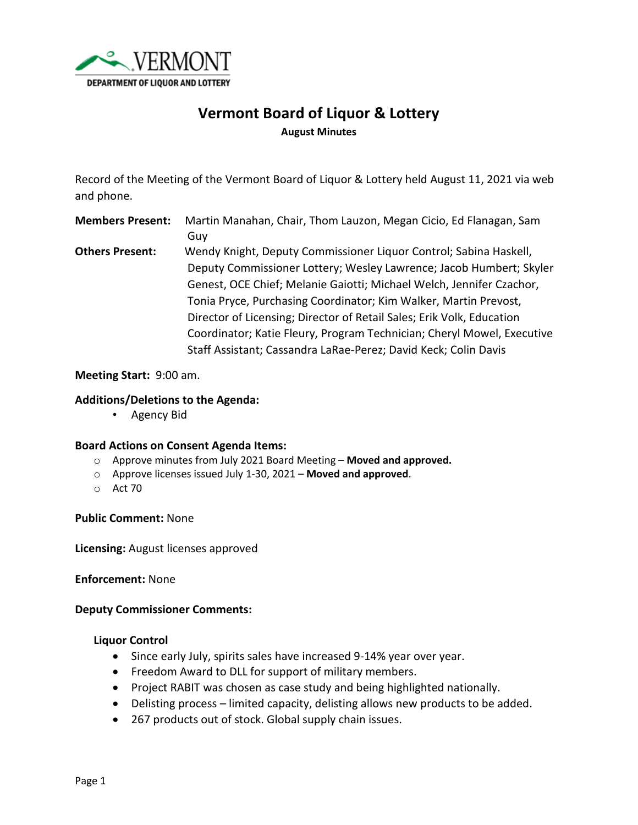

# **Vermont Board of Liquor & Lottery August Minutes**

Record of the Meeting of the Vermont Board of Liquor & Lottery held August 11, 2021 via web and phone.

**Members Present:** Martin Manahan, Chair, Thom Lauzon, Megan Cicio, Ed Flanagan, Sam Guy

**Others Present:** Wendy Knight, Deputy Commissioner Liquor Control; Sabina Haskell, Deputy Commissioner Lottery; Wesley Lawrence; Jacob Humbert; Skyler Genest, OCE Chief; Melanie Gaiotti; Michael Welch, Jennifer Czachor, Tonia Pryce, Purchasing Coordinator; Kim Walker, Martin Prevost, Director of Licensing; Director of Retail Sales; Erik Volk, Education Coordinator; Katie Fleury, Program Technician; Cheryl Mowel, Executive Staff Assistant; Cassandra LaRae-Perez; David Keck; Colin Davis

#### **Meeting Start:** 9:00 am.

### **Additions/Deletions to the Agenda:**

• Agency Bid

#### **Board Actions on Consent Agenda Items:**

- o Approve minutes from July 2021 Board Meeting **Moved and approved.**
- o Approve licenses issued July 1-30, 2021 **Moved and approved**.
- o Act 70

#### **Public Comment:** None

**Licensing:** August licenses approved

#### **Enforcement:** None

#### **Deputy Commissioner Comments:**

#### **Liquor Control**

- Since early July, spirits sales have increased 9-14% year over year.
- Freedom Award to DLL for support of military members.
- Project RABIT was chosen as case study and being highlighted nationally.
- Delisting process limited capacity, delisting allows new products to be added.
- 267 products out of stock. Global supply chain issues.